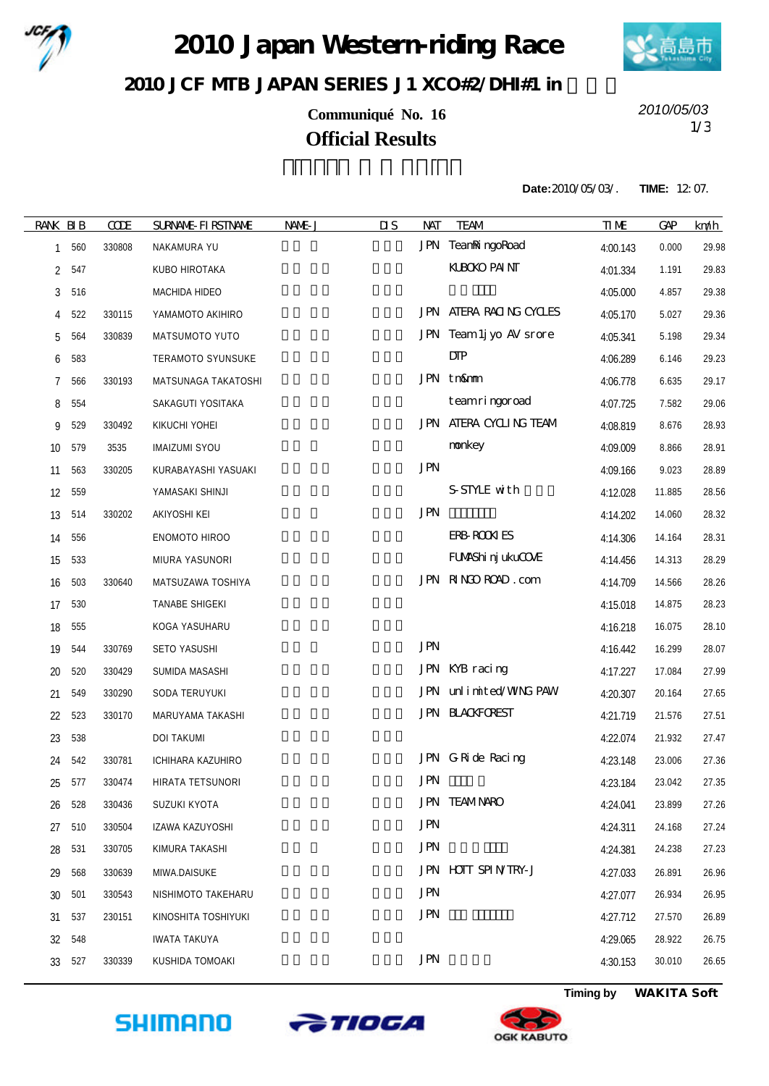

2010 Japan Western-riding Race



## 2010 JCF MIB JAPAN SERIES J1 XCO#2/DH#1 in

**Communiqué No. 16** 1/3 **Official Results**

*2010/05/03*

**Date:**2010/05/03/. **TIME:** 12:07.

| <b>RANK BIB</b> |     | <b>CODE</b> | <b>SURNAME FIRSTNAME</b> | NAME J | $\overline{\mathbf{u}}$<br>NAT | <b>TEAM</b>                   | <b>TIME</b> | GP     | km/h  |
|-----------------|-----|-------------|--------------------------|--------|--------------------------------|-------------------------------|-------------|--------|-------|
| $\mathbf{1}$    | 560 | 330808      | NAKAMURA YU              |        |                                | JPN TeaniningoRoad            | 4:00.143    | 0.000  | 29.98 |
| 2               | 547 |             | KUBO HIROTAKA            |        |                                | <b>KLBOKO PAINT</b>           | 4:01.334    | 1.191  | 29.83 |
| 3               | 516 |             | MACHIDA HIDEO            |        |                                |                               | 4:05.000    | 4.857  | 29.38 |
| 4               | 522 | 330115      | YAMAMOTO AKIHIRO         |        |                                | JPN ATERA RACING CYCLES       | 4:05.170    | 5.027  | 29.36 |
| 5               | 564 | 330839      | MATSUMOTO YUTO           |        |                                | JPN Team 1j yo AV srore       | 4:05.341    | 5.198  | 29.34 |
| 6               | 583 |             | TERAMOTO SYUNSUKE        |        |                                | DIP                           | 4:06.289    | 6.146  | 29.23 |
| 7               | 566 | 330193      | MATSUNAGA TAKATOSHI      |        |                                | JPN tn&mm                     | 4:06.778    | 6.635  | 29.17 |
| 8               | 554 |             | SAKAGUTI YOSITAKA        |        |                                | teamringoroad                 | 4:07.725    | 7.582  | 29.06 |
| 9               | 529 | 330492      | KIKUCHI YOHEI            |        |                                | <b>JPN ATERA CYCLING TEAM</b> | 4:08.819    | 8.676  | 28.93 |
| 10              | 579 | 3535        | <b>IMAIZUMI SYOU</b>     |        |                                | nonkey                        | 4:09.009    | 8.866  | 28.91 |
| 11              | 563 | 330205      | KURABAYASHI YASUAKI      |        | <b>JPN</b>                     |                               | 4:09.166    | 9.023  | 28.89 |
| 12              | 559 |             | YAMASAKI SHINJI          |        |                                | S-STYLE with                  | 4:12.028    | 11.885 | 28.56 |
| 13              | 514 | 330202      | AKIYOSHI KEI             |        | <b>JPN</b>                     |                               | 4:14.202    | 14.060 | 28.32 |
| 14              | 556 |             | ENOMOTO HIROO            |        |                                | <b>ERB ROOK ES</b>            | 4:14.306    | 14.164 | 28.31 |
| 15              | 533 |             | MIURA YASUNORI           |        |                                | FUAAShi nj ukuCOAE            | 4:14.456    | 14.313 | 28.29 |
| 16              | 503 | 330640      | MATSUZAWA TOSHIYA        |        |                                | JPN RINGO ROAD.com            | 4:14.709    | 14.566 | 28.26 |
| 17              | 530 |             | TANABE SHIGEKI           |        |                                |                               | 4:15.018    | 14.875 | 28.23 |
| 18              | 555 |             | KOGA YASUHARU            |        |                                |                               | 4:16.218    | 16.075 | 28.10 |
| 19              | 544 | 330769      | SETO YASUSHI             |        | <b>JPN</b>                     |                               | 4:16.442    | 16.299 | 28.07 |
| 20              | 520 | 330429      | SUMIDA MASASHI           |        |                                | JPN KYB racing                | 4:17.227    | 17.084 | 27.99 |
| 21              | 549 | 330290      | SODA TERUYUKI            |        |                                | JPN unlimited/WNG PAW         | 4:20.307    | 20.164 | 27.65 |
| 22              | 523 | 330170      | MARUYAMA TAKASHI         |        |                                | <b>JPN BLACKFOREST</b>        | 4:21.719    | 21.576 | 27.51 |
| 23              | 538 |             | <b>DOI TAKUMI</b>        |        |                                |                               | 4:22.074    | 21.932 | 27.47 |
| 24              | 542 | 330781      | ICHIHARA KAZUHIRO        |        |                                | JPN GRide Racing              | 4:23.148    | 23.006 | 27.36 |
| 25              | 577 | 330474      | HIRATA TETSUNORI         |        | <b>JPN</b>                     |                               | 4:23.184    | 23.042 | 27.35 |
| 26              | 528 | 330436      | SUZUKI KYOTA             |        |                                | <b>JPN TEAMNARO</b>           | 4:24.041    | 23.899 | 27.26 |
| 27              | 510 | 330504      | IZAWA KAZUYOSHI          |        | <b>JPN</b>                     |                               | 4:24.311    | 24.168 | 27.24 |
| 28              | 531 | 330705      | KIMURA TAKASHI           |        | JPN                            |                               | 4:24.381    | 24.238 | 27.23 |
| 29              | 568 | 330639      | MIWA.DAISUKE             |        |                                | JPN HOTT SPINTRY-J            | 4:27.033    | 26.891 | 26.96 |
| 30              | 501 | 330543      | NISHIMOTO TAKEHARU       |        | <b>JPN</b>                     |                               | 4:27.077    | 26.934 | 26.95 |
| 31              | 537 | 230151      | KINOSHITA TOSHIYUKI      |        | <b>JPN</b>                     |                               | 4:27.712    | 27.570 | 26.89 |
| 32              | 548 |             | <b>IWATA TAKUYA</b>      |        |                                |                               | 4:29.065    | 28.922 | 26.75 |
| 33              | 527 | 330339      | KUSHIDA TOMOAKI          |        | <b>JPN</b>                     |                               | 4:30.153    | 30.010 | 26.65 |
|                 |     |             |                          |        |                                |                               |             |        |       |







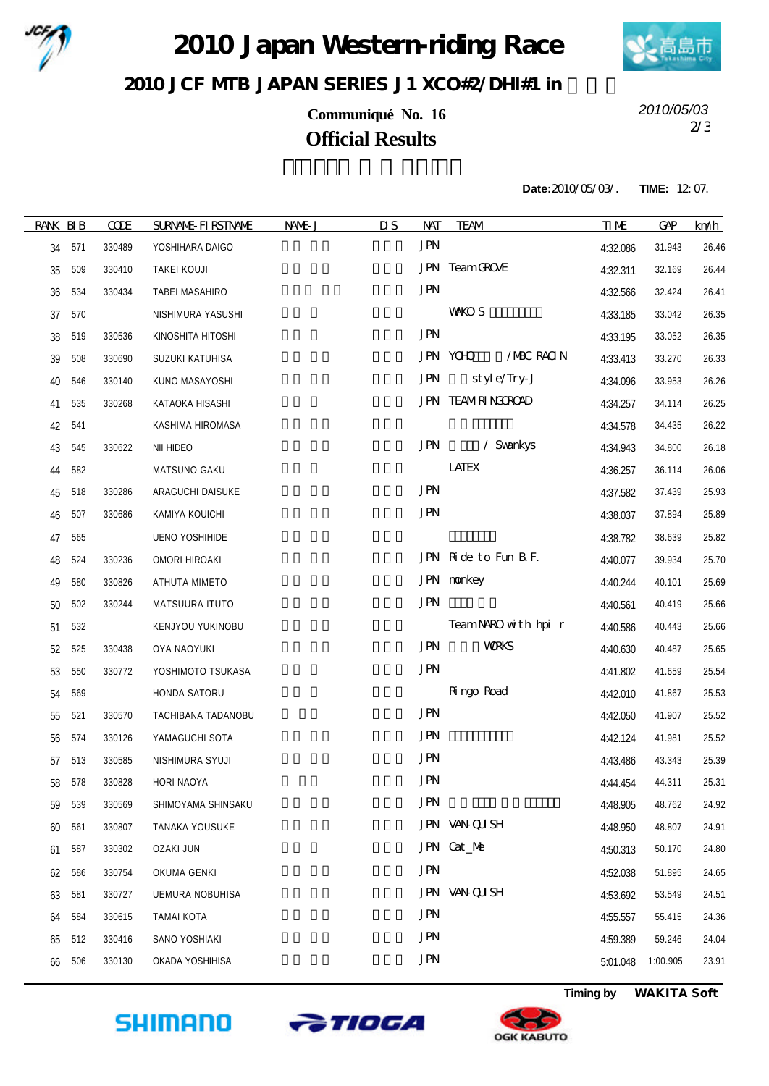

2010 Japan Western-riding Race



## 2010 JCF MIB JAPAN SERIES J1 XCO#2/DH#1 in

**Communiqué No. 16** 2/3 **Official Results**

*2010/05/03*

**Date:**2010/05/03/. **TIME:** 12:07.

| <b>RANK BIB</b> |     | <b>CODE</b> | <b>SURNALE-FIRSTNAME</b> | NAME J | $\overline{\mathbf{u}}$<br><b>NAT</b> | <b>TEAM</b>             | <b>TIME</b> | GAP      | km/h  |
|-----------------|-----|-------------|--------------------------|--------|---------------------------------------|-------------------------|-------------|----------|-------|
| 34              | 571 | 330489      | YOSHIHARA DAIGO          |        | <b>JPN</b>                            |                         | 4:32.086    | 31.943   | 26.46 |
| 35              | 509 | 330410      | TAKEI KOUJI              |        |                                       | JPN TeamGROVE           | 4:32.311    | 32.169   | 26.44 |
| 36              | 534 | 330434      | TABEI MASAHIRO           |        | <b>JPN</b>                            |                         | 4:32.566    | 32.424   | 26.41 |
| 37              | 570 |             | NISHIMURA YASUSHI        |        |                                       | <b>VANCO S</b>          | 4:33.185    | 33.042   | 26.35 |
| 38              | 519 | 330536      | KINOSHITA HITOSHI        |        | <b>JPN</b>                            |                         | 4:33.195    | 33.052   | 26.35 |
| 39              | 508 | 330690      | SUZUKI KATUHISA          |        |                                       | /MBC RACIN<br>JPN YCHO  | 4:33.413    | 33.270   | 26.33 |
| 40              | 546 | 330140      | KUNO MASAYOSHI           |        | <b>JPN</b>                            | style/Try-J             | 4:34.096    | 33.953   | 26.26 |
| 41              | 535 | 330268      | KATAOKA HISASHI          |        |                                       | <b>JPN TEAMRINGROAD</b> | 4:34.257    | 34.114   | 26.25 |
| 42              | 541 |             | KASHIMA HIROMASA         |        |                                       |                         | 4:34.578    | 34.435   | 26.22 |
| 43              | 545 | 330622      | NII HIDEO                |        | <b>JPN</b>                            | / Svankys               | 4:34.943    | 34.800   | 26.18 |
| 44              | 582 |             | MATSUNO GAKU             |        |                                       | <b>LATEX</b>            | 4:36.257    | 36.114   | 26.06 |
| 45              | 518 | 330286      | ARAGUCHI DAISUKE         |        | <b>JPN</b>                            |                         | 4:37.582    | 37.439   | 25.93 |
| 46              | 507 | 330686      | KAMIYA KOUICHI           |        | <b>JPN</b>                            |                         | 4:38.037    | 37.894   | 25.89 |
| 47              | 565 |             | <b>UENO YOSHIHIDE</b>    |        |                                       |                         | 4:38.782    | 38.639   | 25.82 |
| 48              | 524 | 330236      | OMORI HIROAKI            |        |                                       | JPN Ride to Fun B F.    | 4:40.077    | 39.934   | 25.70 |
| 49              | 580 | 330826      | ATHUTA MIMETO            |        |                                       | JPN nonkey              | 4:40.244    | 40.101   | 25.69 |
| 50              | 502 | 330244      | MATSUURA ITUTO           |        | <b>JPN</b>                            |                         | 4:40.561    | 40.419   | 25.66 |
| 51              | 532 |             | KENJYOU YUKINOBU         |        |                                       | Team NARO with hpir     | 4:40.586    | 40.443   | 25.66 |
| 52              | 525 | 330438      | OYA NAOYUKI              |        | <b>JPN</b>                            | <b>VORKS</b>            | 4:40.630    | 40.487   | 25.65 |
| 53              | 550 | 330772      | YOSHIMOTO TSUKASA        |        | <b>JPN</b>                            |                         | 4:41.802    | 41.659   | 25.54 |
| 54              | 569 |             | HONDA SATORU             |        |                                       | Ringo Road              | 4:42.010    | 41.867   | 25.53 |
| 55              | 521 | 330570      | TACHIBANA TADANOBU       |        | <b>JPN</b>                            |                         | 4:42.050    | 41.907   | 25.52 |
| 56              | 574 | 330126      | YAMAGUCHI SOTA           |        | <b>JPN</b>                            |                         | 4:42.124    | 41.981   | 25.52 |
| 57              | 513 | 330585      | NISHIMURA SYUJI          |        | <b>JPN</b>                            |                         | 4:43.486    | 43.343   | 25.39 |
| 58              | 578 | 330828      | HORI NAOYA               |        | <b>JPN</b>                            |                         | 4:44.454    | 44.311   | 25.31 |
| 59              | 539 | 330569      | SHIMOYAMA SHINSAKU       |        | <b>JPN</b>                            |                         | 4:48.905    | 48.762   | 24.92 |
| 60              | 561 | 330807      | TANAKA YOUSUKE           |        |                                       | JPN VAN QU SH           | 4:48.950    | 48.807   | 24.91 |
| 61              | 587 | 330302      | <b>OZAKI JUN</b>         |        |                                       | JPN Cat_Me              | 4:50.313    | 50.170   | 24.80 |
| 62              | 586 | 330754      | OKUMA GENKI              |        | <b>JPN</b>                            |                         | 4:52.038    | 51.895   | 24.65 |
| 63              | 581 | 330727      | <b>UEMURA NOBUHISA</b>   |        |                                       | JPN VAN QUSH            | 4:53.692    | 53.549   | 24.51 |
| 64              | 584 | 330615      | <b>TAMAI KOTA</b>        |        | <b>JPN</b>                            |                         | 4:55.557    | 55.415   | 24.36 |
| 65              | 512 | 330416      | SANO YOSHIAKI            |        | <b>JPN</b>                            |                         | 4:59.389    | 59.246   | 24.04 |
| 66              | 506 | 330130      | OKADA YOSHIHISA          |        | <b>JPN</b>                            |                         | 5:01.048    | 1:00.905 | 23.91 |
|                 |     |             |                          |        |                                       |                         |             |          |       |







**Timing by** *WAKITA Soft*